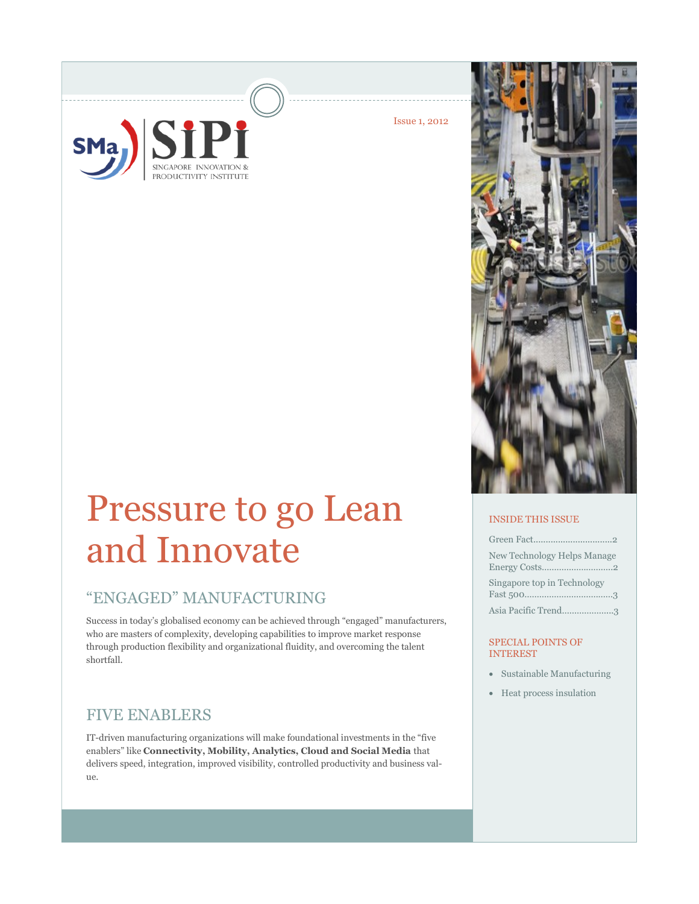

Issue 1, 2012

# Pressure to go Lean and Innovate

## "ENGAGED" MANUFACTURING

Success in today's globalised economy can be achieved through "engaged" manufacturers, who are masters of complexity, developing capabilities to improve market response through production flexibility and organizational fluidity, and overcoming the talent shortfall.

## FIVE ENABLERS

IT-driven manufacturing organizations will make foundational investments in the "five enablers" like **Connectivity, Mobility, Analytics, Cloud and Social Media** that delivers speed, integration, improved visibility, controlled productivity and business value.



## INSIDE THIS ISSUE

| New Technology Helps Manage |
|-----------------------------|
| Singapore top in Technology |
| Asia Pacific Trend3         |

#### SPECIAL POINTS OF INTEREST

- Sustainable Manufacturing
- Heat process insulation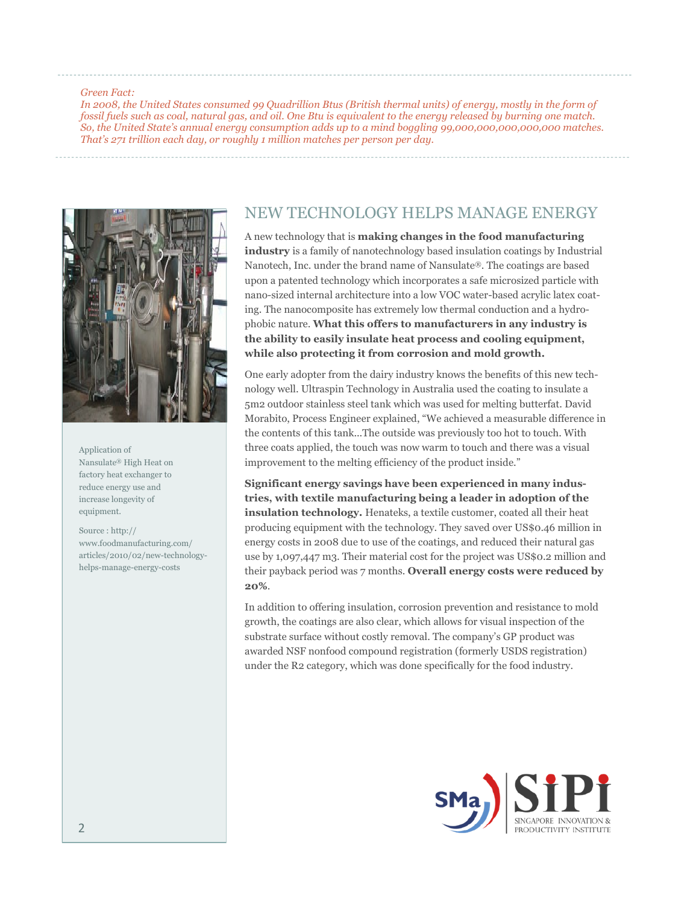#### *Green Fact:*

*In 2008, the United States consumed 99 Quadrillion Btus (British thermal units) of energy, mostly in the form of fossil fuels such as coal, natural gas, and oil. One Btu is equivalent to the energy released by burning one match. So, the United State's annual energy consumption adds up to a mind boggling 99,000,000,000,000,000 matches. That's 271 trillion each day, or roughly 1 million matches per person per day.*



Application of Nansulate® High Heat on factory heat exchanger to reduce energy use and increase longevity of equipment.

Source : http:// www.foodmanufacturing.com/ articles/2010/02/new-technologyhelps-manage-energy-costs

## NEW TECHNOLOGY HELPS MANAGE ENERGY

A new technology that is **making changes in the food manufacturing industry** is a family of nanotechnology based insulation coatings by Industrial Nanotech, Inc. under the brand name of Nansulate®. The coatings are based upon a patented technology which incorporates a safe microsized particle with nano-sized internal architecture into a low VOC water-based acrylic latex coating. The nanocomposite has extremely low thermal conduction and a hydrophobic nature. **What this offers to manufacturers in any industry is the ability to easily insulate heat process and cooling equipment, while also protecting it from corrosion and mold growth.**

One early adopter from the dairy industry knows the benefits of this new technology well. Ultraspin Technology in Australia used the coating to insulate a 5m2 outdoor stainless steel tank which was used for melting butterfat. David Morabito, Process Engineer explained, "We achieved a measurable difference in the contents of this tank...The outside was previously too hot to touch. With three coats applied, the touch was now warm to touch and there was a visual improvement to the melting efficiency of the product inside."

**Significant energy savings have been experienced in many industries, with textile manufacturing being a leader in adoption of the insulation technology.** Henateks, a textile customer, coated all their heat producing equipment with the technology. They saved over US\$0.46 million in energy costs in 2008 due to use of the coatings, and reduced their natural gas use by 1,097,447 m3. Their material cost for the project was US\$0.2 million and their payback period was 7 months. **Overall energy costs were reduced by 20%**.

In addition to offering insulation, corrosion prevention and resistance to mold growth, the coatings are also clear, which allows for visual inspection of the substrate surface without costly removal. The company's GP product was awarded NSF nonfood compound registration (formerly USDS registration) under the R2 category, which was done specifically for the food industry.

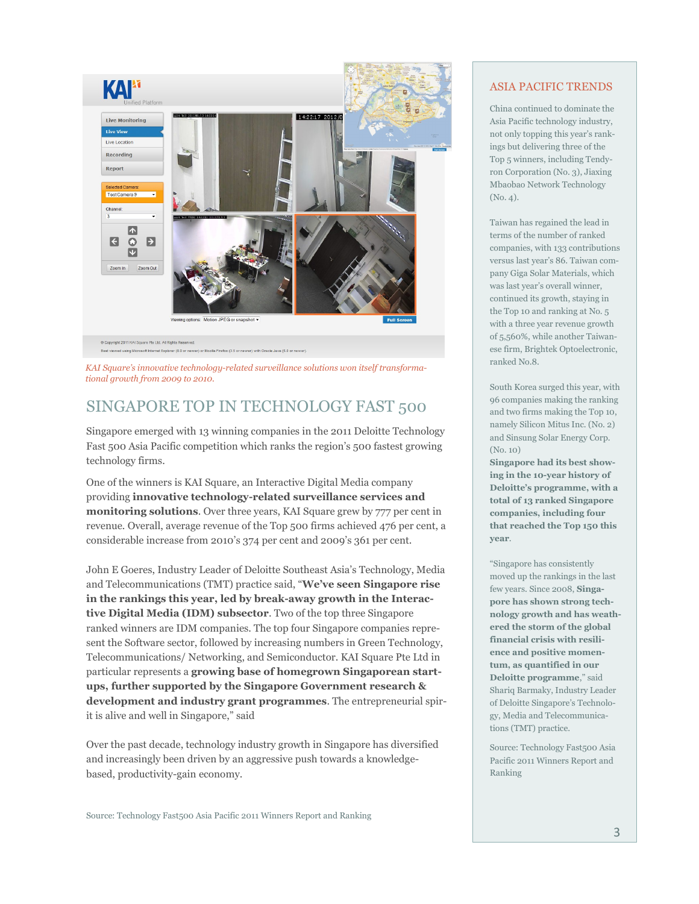

*KAI Square's innovative technology-related surveillance solutions won itself transformational growth from 2009 to 2010.*

# SINGAPORE TOP IN TECHNOLOGY FAST 500

Singapore emerged with 13 winning companies in the 2011 Deloitte Technology Fast 500 Asia Pacific competition which ranks the region's 500 fastest growing technology firms.

One of the winners is KAI Square, an Interactive Digital Media company providing **innovative technology-related surveillance services and monitoring solutions**. Over three years, KAI Square grew by 777 per cent in revenue. Overall, average revenue of the Top 500 firms achieved 476 per cent, a considerable increase from 2010's 374 per cent and 2009's 361 per cent.

John E Goeres, Industry Leader of Deloitte Southeast Asia's Technology, Media and Telecommunications (TMT) practice said, "**We've seen Singapore rise in the rankings this year, led by break-away growth in the Interactive Digital Media (IDM) subsector**. Two of the top three Singapore ranked winners are IDM companies. The top four Singapore companies represent the Software sector, followed by increasing numbers in Green Technology, Telecommunications/ Networking, and Semiconductor. KAI Square Pte Ltd in particular represents a **growing base of homegrown Singaporean startups, further supported by the Singapore Government research & development and industry grant programmes**. The entrepreneurial spirit is alive and well in Singapore," said

Over the past decade, technology industry growth in Singapore has diversified and increasingly been driven by an aggressive push towards a knowledgebased, productivity-gain economy.

### ASIA PACIFIC TRENDS

China continued to dominate the Asia Pacific technology industry, not only topping this year's rankings but delivering three of the Top 5 winners, including Tendyron Corporation (No. 3), Jiaxing Mbaobao Network Technology (No. 4).

Taiwan has regained the lead in terms of the number of ranked companies, with 133 contributions versus last year's 86. Taiwan company Giga Solar Materials, which was last year's overall winner, continued its growth, staying in the Top 10 and ranking at No. 5 with a three year revenue growth of 5,560%, while another Taiwanese firm, Brightek Optoelectronic, ranked No.8.

South Korea surged this year, with 96 companies making the ranking and two firms making the Top 10, namely Silicon Mitus Inc. (No. 2) and Sinsung Solar Energy Corp.  $(N<sub>0</sub>10)$ 

**Singapore had its best showing in the 10-year history of Deloitte's programme, with a total of 13 ranked Singapore companies, including four that reached the Top 150 this year**.

"Singapore has consistently moved up the rankings in the last few years. Since 2008, **Singapore has shown strong technology growth and has weathered the storm of the global financial crisis with resilience and positive momentum, as quantified in our Deloitte programme**," said Shariq Barmaky, Industry Leader of Deloitte Singapore's Technology, Media and Telecommunications (TMT) practice.

Source: Technology Fast500 Asia Pacific 2011 Winners Report and Ranking

Source: Technology Fast500 Asia Pacific 2011 Winners Report and Ranking